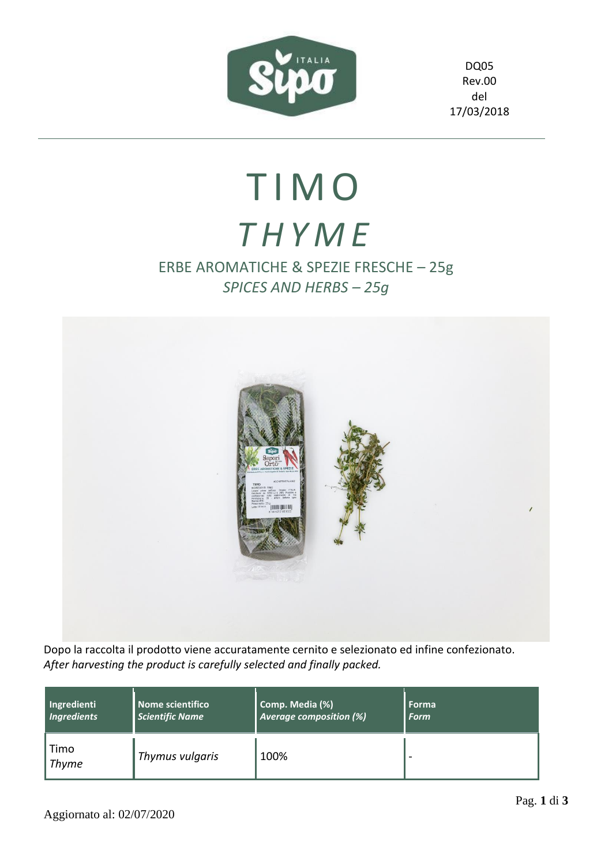

DQ05 Rev.00 del 17/03/2018

## T I M O *T H Y M E*

## ERBE AROMATICHE & SPEZIE FRESCHE – 25g *SPICES AND HERBS – 25g*



Dopo la raccolta il prodotto viene accuratamente cernito e selezionato ed infine confezionato. *After harvesting the product is carefully selected and finally packed.*

| Ingredienti          | Nome scientifico       | Comp. Media (%)         | Forma       |
|----------------------|------------------------|-------------------------|-------------|
| <b>Ingredients</b>   | <b>Scientific Name</b> | Average composition (%) | <b>Form</b> |
| Timo<br><b>Thyme</b> | Thymus vulgaris        | 100%                    |             |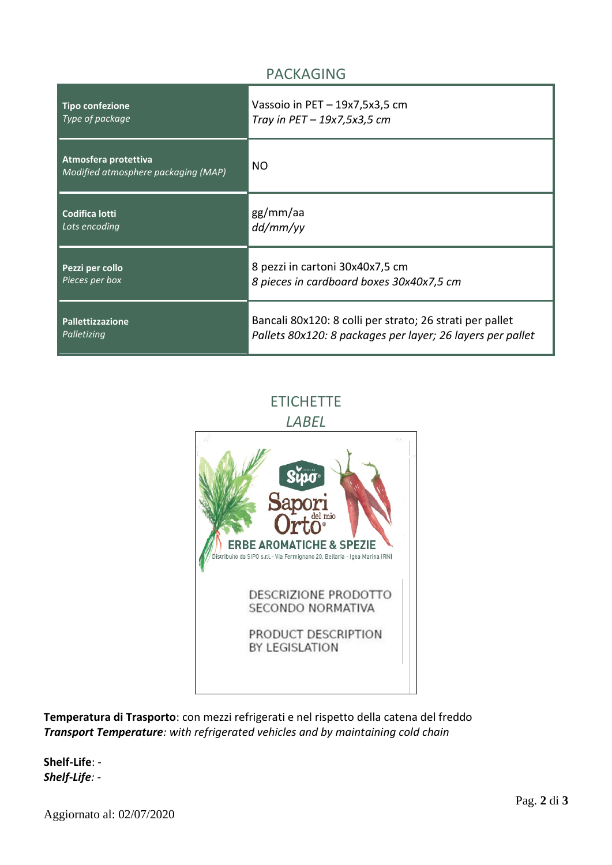## PACKAGING

| <b>Tipo confezione</b>                                      | Vassoio in $PET - 19x7, 5x3, 5$ cm                         |
|-------------------------------------------------------------|------------------------------------------------------------|
| Type of package                                             | Tray in $PET-19x7,5x3,5$ cm                                |
| Atmosfera protettiva<br>Modified atmosphere packaging (MAP) | NO                                                         |
| <b>Codifica lotti</b>                                       | gg/mm/aa                                                   |
| Lots encoding                                               | dd/mm/yy                                                   |
| Pezzi per collo                                             | 8 pezzi in cartoni 30x40x7,5 cm                            |
| Pieces per box                                              | 8 pieces in cardboard boxes 30x40x7,5 cm                   |
| <b>Pallettizzazione</b>                                     | Bancali 80x120: 8 colli per strato; 26 strati per pallet   |
| Palletizing                                                 | Pallets 80x120: 8 packages per layer; 26 layers per pallet |

**ETICHETTE** 

*LABEL*



**Temperatura di Trasporto**: con mezzi refrigerati e nel rispetto della catena del freddo *Transport Temperature: with refrigerated vehicles and by maintaining cold chain*

**Shelf-Life**: - *Shelf-Life: -*